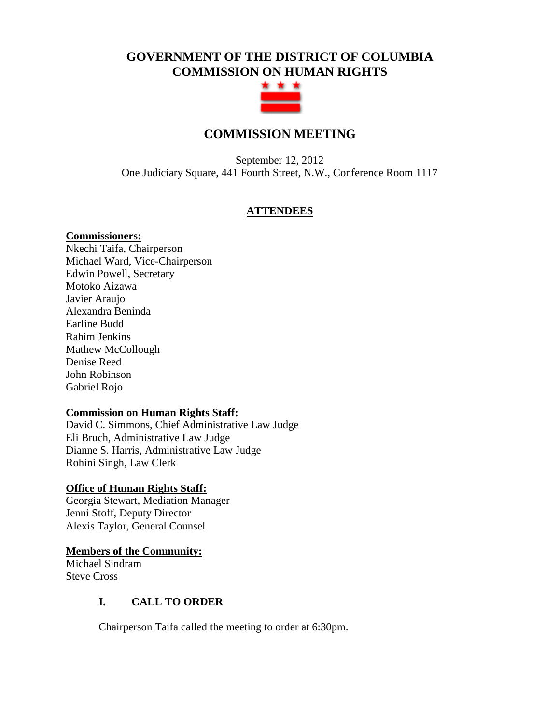# **GOVERNMENT OF THE DISTRICT OF COLUMBIA COMMISSION ON HUMAN RIGHTS**



## **COMMISSION MEETING**

September 12, 2012 One Judiciary Square, 441 Fourth Street, N.W., Conference Room 1117

## **ATTENDEES**

## **Commissioners:**

Nkechi Taifa, Chairperson Michael Ward, Vice-Chairperson Edwin Powell, Secretary Motoko Aizawa Javier Araujo Alexandra Beninda Earline Budd Rahim Jenkins Mathew McCollough Denise Reed John Robinson Gabriel Rojo

## **Commission on Human Rights Staff:**

David C. Simmons, Chief Administrative Law Judge Eli Bruch, Administrative Law Judge Dianne S. Harris, Administrative Law Judge Rohini Singh, Law Clerk

## **Office of Human Rights Staff:**

Georgia Stewart, Mediation Manager Jenni Stoff, Deputy Director Alexis Taylor, General Counsel

## **Members of the Community:**

Michael Sindram Steve Cross

## **I. CALL TO ORDER**

Chairperson Taifa called the meeting to order at 6:30pm.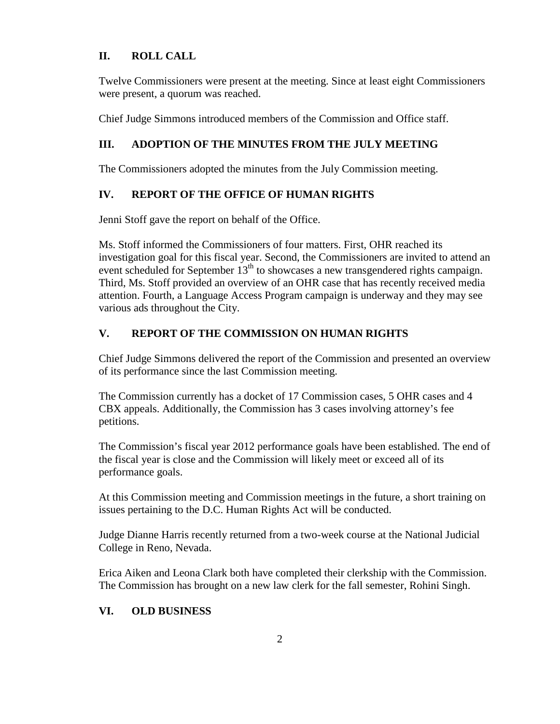## **II. ROLL CALL**

Twelve Commissioners were present at the meeting. Since at least eight Commissioners were present, a quorum was reached.

Chief Judge Simmons introduced members of the Commission and Office staff.

## **III. ADOPTION OF THE MINUTES FROM THE JULY MEETING**

The Commissioners adopted the minutes from the July Commission meeting.

## **IV. REPORT OF THE OFFICE OF HUMAN RIGHTS**

Jenni Stoff gave the report on behalf of the Office.

Ms. Stoff informed the Commissioners of four matters. First, OHR reached its investigation goal for this fiscal year. Second, the Commissioners are invited to attend an event scheduled for September 13<sup>th</sup> to showcases a new transgendered rights campaign. Third, Ms. Stoff provided an overview of an OHR case that has recently received media attention. Fourth, a Language Access Program campaign is underway and they may see various ads throughout the City.

## **V. REPORT OF THE COMMISSION ON HUMAN RIGHTS**

Chief Judge Simmons delivered the report of the Commission and presented an overview of its performance since the last Commission meeting.

The Commission currently has a docket of 17 Commission cases, 5 OHR cases and 4 CBX appeals. Additionally, the Commission has 3 cases involving attorney's fee petitions.

The Commission's fiscal year 2012 performance goals have been established. The end of the fiscal year is close and the Commission will likely meet or exceed all of its performance goals.

At this Commission meeting and Commission meetings in the future, a short training on issues pertaining to the D.C. Human Rights Act will be conducted.

Judge Dianne Harris recently returned from a two-week course at the National Judicial College in Reno, Nevada.

Erica Aiken and Leona Clark both have completed their clerkship with the Commission. The Commission has brought on a new law clerk for the fall semester, Rohini Singh.

## **VI. OLD BUSINESS**